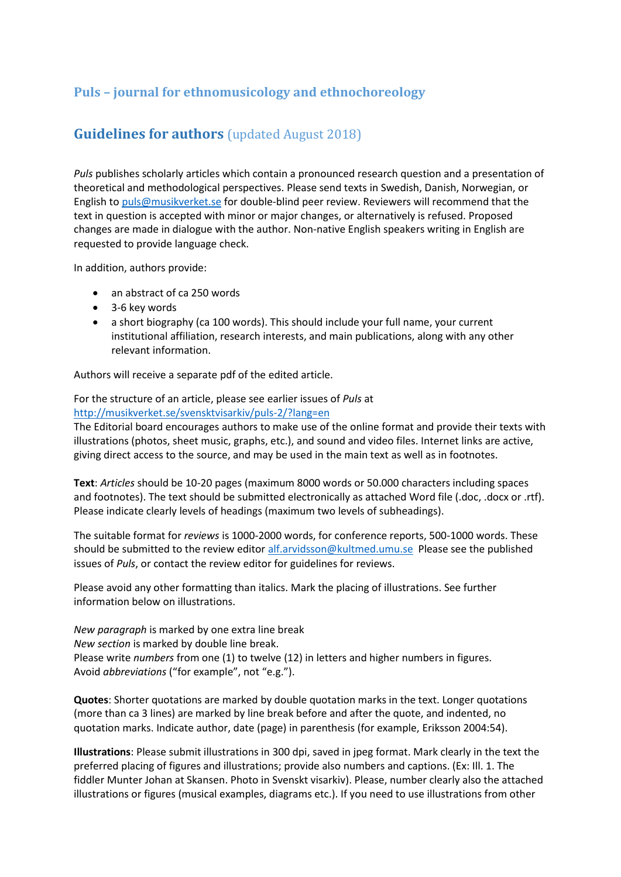# **Puls – journal for ethnomusicology and ethnochoreology**

# **Guidelines for authors** (updated August 2018)

*Puls* publishes scholarly articles which contain a pronounced research question and a presentation of theoretical and methodological perspectives. Please send texts in Swedish, Danish, Norwegian, or English to [puls@musikverket.se](mailto:puls@musikverket.se) for double-blind peer review. Reviewers will recommend that the text in question is accepted with minor or major changes, or alternatively is refused. Proposed changes are made in dialogue with the author. Non-native English speakers writing in English are requested to provide language check.

In addition, authors provide:

- an abstract of ca 250 words
- 3-6 key words
- a short biography (ca 100 words). This should include your full name, your current institutional affiliation, research interests, and main publications, along with any other relevant information.

Authors will receive a separate pdf of the edited article.

For the structure of an article, please see earlier issues of *Puls* at

<http://musikverket.se/svensktvisarkiv/puls-2/?lang=en> The Editorial board encourages authors to make use of the online format and provide their texts with

illustrations (photos, sheet music, graphs, etc.), and sound and video files. Internet links are active, giving direct access to the source, and may be used in the main text as well as in footnotes.

**Text**: *Articles* should be 10-20 pages (maximum 8000 words or 50.000 characters including spaces and footnotes). The text should be submitted electronically as attached Word file (.doc, .docx or .rtf). Please indicate clearly levels of headings (maximum two levels of subheadings).

The suitable format for *reviews* is 1000-2000 words, for conference reports, 500-1000 words. These should be submitted to the review editor [alf.arvidsson@kultmed.umu.se](mailto:alf.arvidsson@kultmed.umu.se) Please see the published issues of *Puls*, or contact the review editor for guidelines for reviews.

Please avoid any other formatting than italics. Mark the placing of illustrations. See further information below on illustrations.

*New paragraph* is marked by one extra line break *New section* is marked by double line break. Please write *numbers* from one (1) to twelve (12) in letters and higher numbers in figures. Avoid *abbreviations* ("for example", not "e.g.").

**Quotes**: Shorter quotations are marked by double quotation marks in the text. Longer quotations (more than ca 3 lines) are marked by line break before and after the quote, and indented, no quotation marks. Indicate author, date (page) in parenthesis (for example, Eriksson 2004:54).

**Illustrations**: Please submit illustrations in 300 dpi, saved in jpeg format. Mark clearly in the text the preferred placing of figures and illustrations; provide also numbers and captions. (Ex: Ill. 1. The fiddler Munter Johan at Skansen. Photo in Svenskt visarkiv). Please, number clearly also the attached illustrations or figures (musical examples, diagrams etc.). If you need to use illustrations from other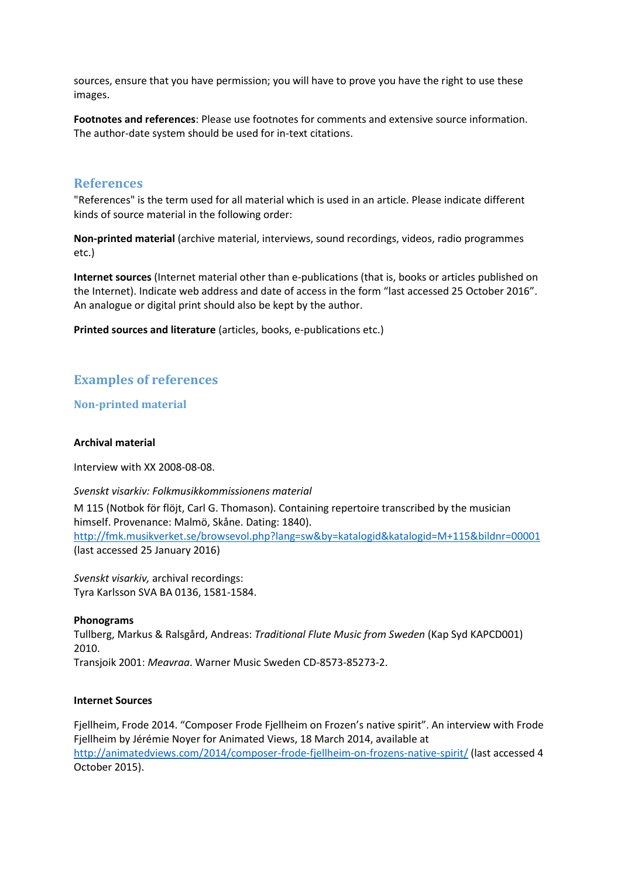sources, ensure that you have permission; you will have to prove you have the right to use these images.

**Footnotes and references**: Please use footnotes for comments and extensive source information. The author-date system should be used for in-text citations.

## **References**

"References" is the term used for all material which is used in an article. Please indicate different kinds of source material in the following order:

**Non-printed material** (archive material, interviews, sound recordings, videos, radio programmes etc.)

**Internet sources** (Internet material other than e-publications (that is, books or articles published on the Internet). Indicate web address and date of access in the form "last accessed 25 October 2016". An analogue or digital print should also be kept by the author.

**Printed sources and literature** (articles, books, e-publications etc.)

## **Examples of references**

## **Non-printed material**

### **Archival material**

Interview with XX 2008-08-08.

#### *Svenskt visarkiv: Folkmusikkommissionens material*

M 115 (Notbok för flöjt, Carl G. Thomason). Containing repertoire transcribed by the musician himself. Provenance: Malmö, Skåne. Dating: 1840). <http://fmk.musikverket.se/browsevol.php?lang=sw&by=katalogid&katalogid=M+115&bildnr=00001> (last accessed 25 January 2016)

*Svenskt visarkiv,* archival recordings: Tyra Karlsson SVA BA 0136, 1581-1584.

#### **Phonograms**

Tullberg, Markus & Ralsgård, Andreas: *Traditional Flute Music from Sweden* (Kap Syd KAPCD001) 2010. Transjoik 2001: *Meavraa*. Warner Music Sweden CD-8573-85273-2.

#### **Internet Sources**

Fjellheim, Frode 2014. "Composer Frode Fjellheim on Frozen's native spirit". An interview with Frode Fjellheim by Jérémie Noyer for Animated Views, 18 March 2014, available at <http://animatedviews.com/2014/composer-frode-fjellheim-on-frozens-native-spirit/> (last accessed 4 October 2015).